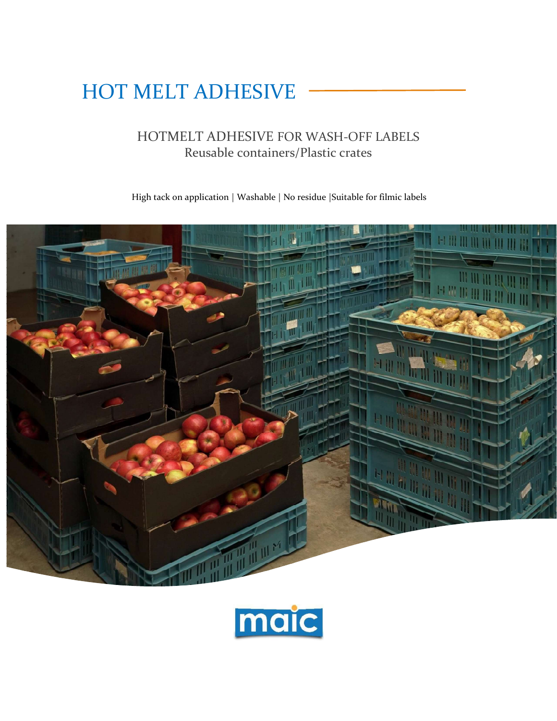# HOT MELT ADHESIVE

# HOTMELT ADHESIVE FOR WASH-OFF LABELS Reusable containers/Plastic crates

High tack on application | Washable | No residue |Suitable for filmic labels